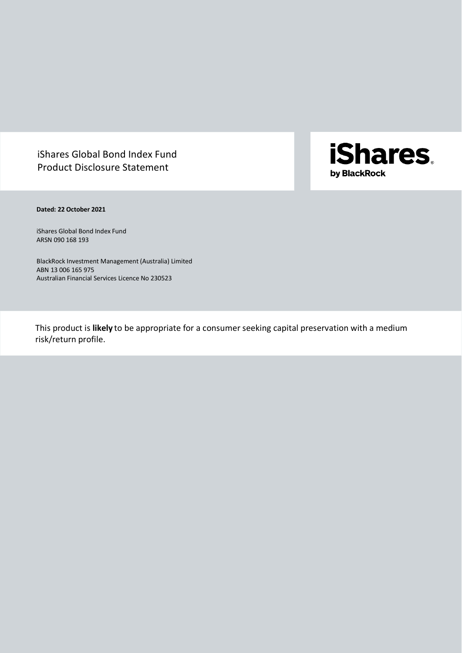# iShares Global Bond Index Fund Product Disclosure Statement

**iShares**. by BlackRock

**Dated: 22 October 2021**

iShares Global Bond Index Fund ARSN 090 168 193

BlackRock Investment Management (Australia) Limited ABN 13 006 165 975 Australian Financial Services Licence No 230523

This product is **likely** to be appropriate for a consumer seeking capital preservation with a medium risk/return profile.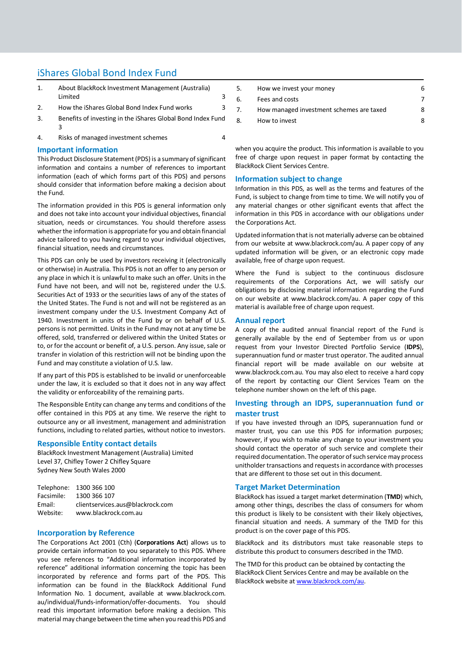## iShares Global Bond Index Fund

- 1. [About BlackRock Investment Management \(Australia\)](#page-2-0)  [Limited](#page-2-0) 3 2. [How the iShares Global Bond Index Fund works](#page-2-1) 3
- 3. [Benefits of investing in the iShares Global Bond Index Fund](#page-2-2) [3](#page-2-2)
- 4. [Risks of managed investment schemes](#page-3-0) 4

## **Important information**

This Product Disclosure Statement (PDS) is a summary of significant information and contains a number of references to important information (each of which forms part of this PDS) and persons should consider that information before making a decision about the Fund.

The information provided in this PDS is general information only and does not take into account your individual objectives, financial situation, needs or circumstances. You should therefore assess whether the information is appropriate for you and obtain financial advice tailored to you having regard to your individual objectives, financial situation, needs and circumstances.

This PDS can only be used by investors receiving it (electronically or otherwise) in Australia. This PDS is not an offer to any person or any place in which it is unlawful to make such an offer. Units in the Fund have not been, and will not be, registered under the U.S. Securities Act of 1933 or the securities laws of any of the states of the United States. The Fund is not and will not be registered as an investment company under the U.S. Investment Company Act of 1940. Investment in units of the Fund by or on behalf of U.S. persons is not permitted. Units in the Fund may not at any time be offered, sold, transferred or delivered within the United States or to, or for the account or benefit of, a U.S. person. Any issue, sale or transfer in violation of this restriction will not be binding upon the Fund and may constitute a violation of U.S. law.

If any part of this PDS is established to be invalid or unenforceable under the law, it is excluded so that it does not in any way affect the validity or enforceability of the remaining parts.

The Responsible Entity can change any terms and conditions of the offer contained in this PDS at any time. We reserve the right to outsource any or all investment, management and administration functions, including to related parties, without notice to investors.

## **Responsible Entity contact details**

BlackRock Investment Management (Australia) Limited Level 37, Chifley Tower 2 Chifley Square Sydney New South Wales 2000

|            | Telephone: 1300 366 100          |
|------------|----------------------------------|
| Facsimile: | 1300 366 107                     |
| Email:     | clientservices.aus@blackrock.com |
| Website:   | www.blackrock.com.au             |

## **Incorporation by Reference**

The Corporations Act 2001 (Cth) (**Corporations Act**) allows us to provide certain information to you separately to this PDS. Where you see references to "Additional information incorporated by reference" additional information concerning the topic has been incorporated by reference and forms part of the PDS. This information can be found in the BlackRock Additional Fund Information No. 1 document, available at www.blackrock.com. au/individual/funds-information/offer-documents. You should read this important information before making a decision. This material may change between the time when you read this PDS and

| 5. | How we invest your money                 | 6 |
|----|------------------------------------------|---|
| 6. | Fees and costs                           |   |
| 7. | How managed investment schemes are taxed | 8 |
| 8. | How to invest                            | Զ |
|    |                                          |   |

when you acquire the product. This information is available to you free of charge upon request in paper format by contacting the BlackRock Client Services Centre.

## **Information subject to change**

Information in this PDS, as well as the terms and features of the Fund, is subject to change from time to time. We will notify you of any material changes or other significant events that affect the information in this PDS in accordance with our obligations under the Corporations Act.

Updated information that is not materially adverse can be obtained from our website at www.blackrock.com/au. A paper copy of any updated information will be given, or an electronic copy made available, free of charge upon request.

Where the Fund is subject to the continuous disclosure requirements of the Corporations Act, we will satisfy our obligations by disclosing material information regarding the Fund on our website at www.blackrock.com/au. A paper copy of this material is available free of charge upon request.

## **Annual report**

A copy of the audited annual financial report of the Fund is generally available by the end of September from us or upon request from your Investor Directed Portfolio Service (**IDPS**), superannuation fund or master trust operator. The audited annual financial report will be made available on our website at www.blackrock.com.au. You may also elect to receive a hard copy of the report by contacting our Client Services Team on the telephone number shown on the left of this page.

## **Investing through an IDPS, superannuation fund or master trust**

If you have invested through an IDPS, superannuation fund or master trust, you can use this PDS for information purposes; however, if you wish to make any change to your investment you should contact the operator of such service and complete their required documentation. The operator of such service may process unitholder transactions and requests in accordance with processes that are different to those set out in this document.

## **Target Market Determination**

BlackRock has issued a target market determination (**TMD**) which, among other things, describes the class of consumers for whom this product is likely to be consistent with their likely objectives, financial situation and needs. A summary of the TMD for this product is on the cover page of this PDS.

BlackRock and its distributors must take reasonable steps to distribute this product to consumers described in the TMD.

The TMD for this product can be obtained by contacting the BlackRock Client Services Centre and may be available on the BlackRock website a[t www.blackrock.com/au.](http://www.blackrock.com.au/)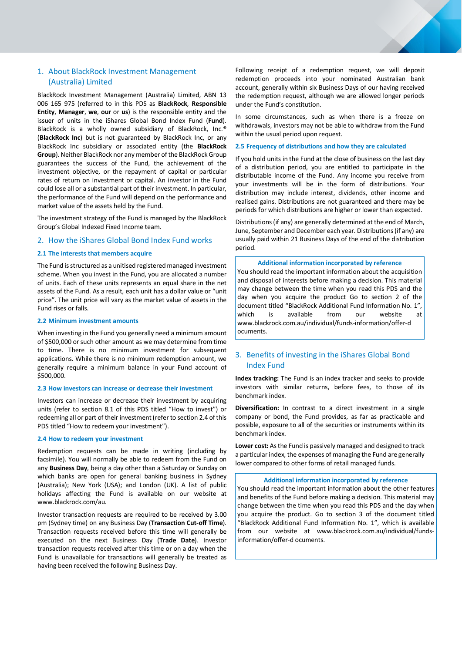## <span id="page-2-0"></span>1. About BlackRock Investment Management (Australia) Limited

BlackRock Investment Management (Australia) Limited, ABN 13 006 165 975 (referred to in this PDS as **BlackRock**, **Responsible Entity**, **Manager**, **we**, **our** or **us**) is the responsible entity and the issuer of units in the iShares Global Bond Index Fund (**Fund**). BlackRock is a wholly owned subsidiary of BlackRock, Inc.® (**BlackRock Inc**) but is not guaranteed by BlackRock Inc, or any BlackRock Inc subsidiary or associated entity (the **BlackRock Group**). Neither BlackRock nor any member of the BlackRock Group guarantees the success of the Fund, the achievement of the investment objective, or the repayment of capital or particular rates of return on investment or capital. An investor in the Fund could lose all or a substantial part of their investment. In particular, the performance of the Fund will depend on the performance and market value of the assets held by the Fund.

The investment strategy of the Fund is managed by the BlackRock Group's Global Indexed Fixed Income team.

## <span id="page-2-1"></span>2. How the iShares Global Bond Index Fund works

### **2.1 The interests that members acquire**

The Fund is structured as a unitised registered managed investment scheme. When you invest in the Fund, you are allocated a number of units. Each of these units represents an equal share in the net assets of the Fund. As a result, each unit has a dollar value or "unit price". The unit price will vary as the market value of assets in the Fund rises or falls.

## **2.2 Minimum investment amounts**

When investing in the Fund you generally need a minimum amount of \$500,000 or such other amount as we may determine from time to time. There is no minimum investment for subsequent applications. While there is no minimum redemption amount, we generally require a minimum balance in your Fund account of \$500,000.

#### **2.3 How investors can increase or decrease their investment**

Investors can increase or decrease their investment by acquiring units (refer to section 8.1 of this PDS titled "How to invest") or redeeming all or part of their investment(refer to section 2.4 of this PDS titled "How to redeem your investment").

## **2.4 How to redeem your investment**

Redemption requests can be made in writing (including by facsimile). You will normally be able to redeem from the Fund on any **Business Day**, being a day other than a Saturday or Sunday on which banks are open for general banking business in Sydney (Australia); New York (USA); and London (UK). A list of public holidays affecting the Fund is available on our website at www.blackrock.com/au.

Investor transaction requests are required to be received by 3.00 pm (Sydney time) on any Business Day (**Transaction Cut-off Time**). Transaction requests received before this time will generally be executed on the next Business Day (**Trade Date**). Investor transaction requests received after this time or on a day when the Fund is unavailable for transactions will generally be treated as having been received the following Business Day.

Following receipt of a redemption request, we will deposit redemption proceeds into your nominated Australian bank account, generally within six Business Days of our having received the redemption request, although we are allowed longer periods under the Fund's constitution.

In some circumstances, such as when there is a freeze on withdrawals, investors may not be able to withdraw from the Fund within the usual period upon request.

#### **2.5 Frequency of distributions and how they are calculated**

If you hold units in the Fund at the close of business on the last day of a distribution period, you are entitled to participate in the distributable income of the Fund. Any income you receive from your investments will be in the form of distributions. Your distribution may include interest, dividends, other income and realised gains. Distributions are not guaranteed and there may be periods for which distributions are higher or lower than expected.

Distributions(if any) are generally determined at the end of March, June, September and December each year. Distributions(if any) are usually paid within 21 Business Days of the end of the distribution period.

#### **Additional information incorporated by reference**

You should read the important information about the acquisition and disposal of interests before making a decision. This material may change between the time when you read this PDS and the day when you acquire the product Go to section 2 of the document titled "BlackRock Additional Fund Information No. 1", which is available from our website at www.blackrock.com.au/individual/funds-information/offer-d ocuments.

## <span id="page-2-2"></span>3. Benefits of investing in the iShares Global Bond Index Fund

**Index tracking:** The Fund is an index tracker and seeks to provide investors with similar returns, before fees, to those of its benchmark index.

**Diversification:** In contrast to a direct investment in a single company or bond, the Fund provides, as far as practicable and possible, exposure to all of the securities or instruments within its benchmark index.

**Lower cost:** As the Fund is passively managed and designed to track a particular index, the expenses of managing the Fund are generally lower compared to other forms of retail managed funds.

#### **Additional information incorporated by reference**

You should read the important information about the other features and benefits of the Fund before making a decision. This material may change between the time when you read this PDS and the day when you acquire the product. Go to section 3 of the document titled "BlackRock Additional Fund Information No. 1", which is available from our website at www.blackrock.com.au/individual/fundsinformation/offer-d ocuments.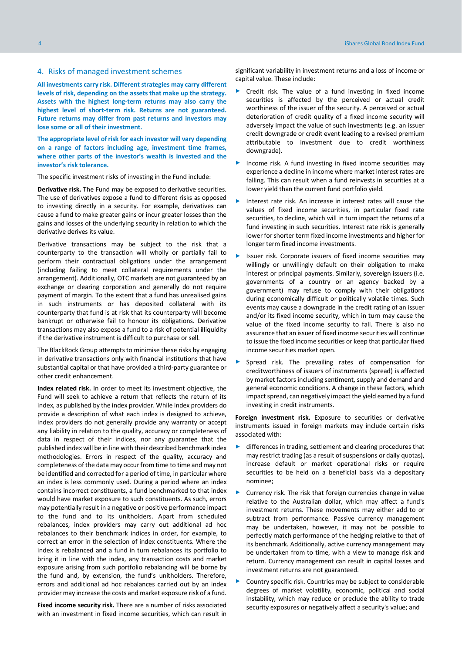## <span id="page-3-0"></span>4. Risks of managed investment schemes

**All investments carry risk. Different strategies may carry different levels of risk, depending on the assets that make up the strategy. Assets with the highest long-term returns may also carry the highest level of short-term risk. Returns are not guaranteed. Future returns may differ from past returns and investors may lose some or all of their investment.**

**The appropriate level of risk for each investor will vary depending on a range of factors including age, investment time frames, where other parts of the investor's wealth is invested and the investor's risk tolerance.**

The specific investment risks of investing in the Fund include:

**Derivative risk.** The Fund may be exposed to derivative securities. The use of derivatives expose a fund to different risks as opposed to investing directly in a security. For example, derivatives can cause a fund to make greater gains or incur greater losses than the gains and losses of the underlying security in relation to which the derivative derives its value.

Derivative transactions may be subject to the risk that a counterparty to the transaction will wholly or partially fail to perform their contractual obligations under the arrangement (including failing to meet collateral requirements under the arrangement). Additionally, OTC markets are not guaranteed by an exchange or clearing corporation and generally do not require payment of margin. To the extent that a fund has unrealised gains in such instruments or has deposited collateral with its counterparty that fund is at risk that its counterparty will become bankrupt or otherwise fail to honour its obligations. Derivative transactions may also expose a fund to a risk of potential illiquidity if the derivative instrument is difficult to purchase or sell.

The BlackRock Group attempts to minimise these risks by engaging in derivative transactions only with financial institutions that have substantial capital or that have provided a third-party guarantee or other credit enhancement.

**Index related risk.** In order to meet its investment objective, the Fund will seek to achieve a return that reflects the return of its index, as published by the index provider. While index providers do provide a description of what each index is designed to achieve, index providers do not generally provide any warranty or accept any liability in relation to the quality, accuracy or completeness of data in respect of their indices, nor any guarantee that the published index will be in line with their described benchmark index methodologies. Errors in respect of the quality, accuracy and completeness of the data may occur from time to time and may not be identified and corrected for a period of time, in particular where an index is less commonly used. During a period where an index contains incorrect constituents, a fund benchmarked to that index would have market exposure to such constituents. As such, errors may potentially result in a negative or positive performance impact to the fund and to its unitholders. Apart from scheduled rebalances, index providers may carry out additional ad hoc rebalances to their benchmark indices in order, for example, to correct an error in the selection of index constituents. Where the index is rebalanced and a fund in turn rebalances its portfolio to bring it in line with the index, any transaction costs and market exposure arising from such portfolio rebalancing will be borne by the fund and, by extension, the fund's unitholders. Therefore, errors and additional ad hoc rebalances carried out by an index provider may increase the costs and market exposure risk of a fund.

**Fixed income security risk.** There are a number of risks associated with an investment in fixed income securities, which can result in significant variability in investment returns and a loss of income or capital value. These include:

- Credit risk. The value of a fund investing in fixed income securities is affected by the perceived or actual credit worthiness of the issuer of the security. A perceived or actual deterioration of credit quality of a fixed income security will adversely impact the value of such investments (e.g. an issuer credit downgrade or credit event leading to a revised premium attributable to investment due to credit worthiness downgrade).
- Income risk. A fund investing in fixed income securities may experience a decline in income where market interest rates are falling. This can result when a fund reinvests in securities at a lower yield than the current fund portfolio yield.
- Interest rate risk. An increase in interest rates will cause the values of fixed income securities, in particular fixed rate securities, to decline, which will in turn impact the returns of a fund investing in such securities. Interest rate risk is generally lower for shorter term fixed income investments and higher for longer term fixed income investments.
- Issuer risk. Corporate issuers of fixed income securities may willingly or unwillingly default on their obligation to make interest or principal payments. Similarly, sovereign issuers (i.e. governments of a country or an agency backed by a government) may refuse to comply with their obligations during economically difficult or politically volatile times. Such events may cause a downgrade in the credit rating of an issuer and/or its fixed income security, which in turn may cause the value of the fixed income security to fall. There is also no assurance that an issuer of fixed income securities will continue to issue the fixed income securities or keep that particular fixed income securities market open.
- Spread risk. The prevailing rates of compensation for creditworthiness of issuers of instruments (spread) is affected by market factors including sentiment, supply and demand and general economic conditions. A change in these factors, which impact spread, can negatively impact the yield earned by a fund investing in credit instruments.

**Foreign investment risk.** Exposure to securities or derivative instruments issued in foreign markets may include certain risks associated with:

- ► differences in trading, settlement and clearing procedures that may restrict trading (as a result of suspensions or daily quotas), increase default or market operational risks or require securities to be held on a beneficial basis via a depositary nominee;
- Currency risk. The risk that foreign currencies change in value relative to the Australian dollar, which may affect a fund's investment returns. These movements may either add to or subtract from performance. Passive currency management may be undertaken, however, it may not be possible to perfectly match performance of the hedging relative to that of its benchmark. Additionally, active currency management may be undertaken from to time, with a view to manage risk and return. Currency management can result in capital losses and investment returns are not guaranteed.
- Country specific risk. Countries may be subject to considerable degrees of market volatility, economic, political and social instability, which may reduce or preclude the ability to trade security exposures or negatively affect a security's value; and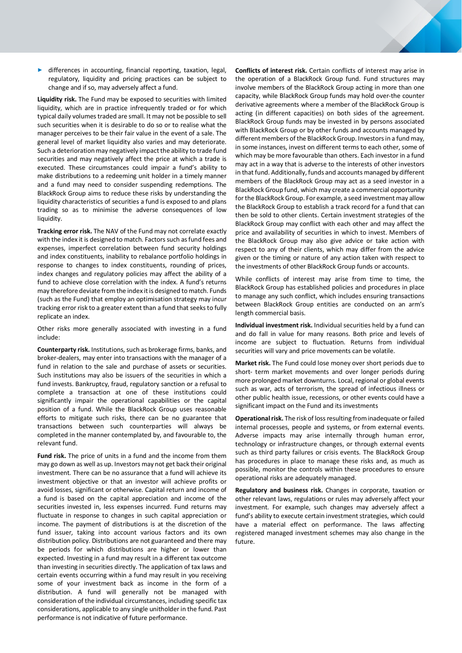► differences in accounting, financial reporting, taxation, legal, regulatory, liquidity and pricing practices can be subject to change and if so, may adversely affect a fund.

**Liquidity risk.** The Fund may be exposed to securities with limited liquidity, which are in practice infrequently traded or for which typical daily volumes traded are small. It may not be possible to sell such securities when it is desirable to do so or to realise what the manager perceives to be their fair value in the event of a sale. The general level of market liquidity also varies and may deteriorate. Such a deterioration may negatively impact the ability to trade fund securities and may negatively affect the price at which a trade is executed. These circumstances could impair a fund's ability to make distributions to a redeeming unit holder in a timely manner and a fund may need to consider suspending redemptions. The BlackRock Group aims to reduce these risks by understanding the liquidity characteristics of securities a fund is exposed to and plans trading so as to minimise the adverse consequences of low liquidity.

**Tracking error risk.** The NAV of the Fund may not correlate exactly with the index it is designed to match. Factors such as fund fees and expenses, imperfect correlation between fund security holdings and index constituents, inability to rebalance portfolio holdings in response to changes to index constituents, rounding of prices, index changes and regulatory policies may affect the ability of a fund to achieve close correlation with the index. A fund's returns may therefore deviate from the index it is designed to match. Funds (such as the Fund) that employ an optimisation strategy may incur tracking error risk to a greater extent than a fund that seeks to fully replicate an index.

Other risks more generally associated with investing in a fund include:

**Counterparty risk.** Institutions, such as brokerage firms, banks, and broker-dealers, may enter into transactions with the manager of a fund in relation to the sale and purchase of assets or securities. Such institutions may also be issuers of the securities in which a fund invests. Bankruptcy, fraud, regulatory sanction or a refusal to complete a transaction at one of these institutions could significantly impair the operational capabilities or the capital position of a fund. While the BlackRock Group uses reasonable efforts to mitigate such risks, there can be no guarantee that transactions between such counterparties will always be completed in the manner contemplated by, and favourable to, the relevant fund.

**Fund risk.** The price of units in a fund and the income from them may go down as well as up. Investors may not get back their original investment. There can be no assurance that a fund will achieve its investment objective or that an investor will achieve profits or avoid losses, significant or otherwise. Capital return and income of a fund is based on the capital appreciation and income of the securities invested in, less expenses incurred. Fund returns may fluctuate in response to changes in such capital appreciation or income. The payment of distributions is at the discretion of the fund issuer, taking into account various factors and its own distribution policy. Distributions are not guaranteed and there may be periods for which distributions are higher or lower than expected. Investing in a fund may result in a different tax outcome than investing in securities directly. The application of tax laws and certain events occurring within a fund may result in you receiving some of your investment back as income in the form of a distribution. A fund will generally not be managed with consideration of the individual circumstances, including specific tax considerations, applicable to any single unitholder in the fund. Past performance is not indicative of future performance.

**Conflicts of interest risk.** Certain conflicts of interest may arise in the operation of a BlackRock Group fund. Fund structures may involve members of the BlackRock Group acting in more than one capacity, while BlackRock Group funds may hold over-the counter derivative agreements where a member of the BlackRock Group is acting (in different capacities) on both sides of the agreement. BlackRock Group funds may be invested in by persons associated with BlackRock Group or by other funds and accounts managed by different members of the BlackRock Group. Investors in a fund may, in some instances, invest on different terms to each other, some of which may be more favourable than others. Each investor in a fund may act in a way that is adverse to the interests of other investors in that fund. Additionally, funds and accounts managed by different members of the BlackRock Group may act as a seed investor in a BlackRock Group fund, which may create a commercial opportunity for the BlackRock Group. For example, a seed investment may allow the BlackRock Group to establish a track record for a fund that can then be sold to other clients. Certain investment strategies of the BlackRock Group may conflict with each other and may affect the price and availability of securities in which to invest. Members of the BlackRock Group may also give advice or take action with respect to any of their clients, which may differ from the advice given or the timing or nature of any action taken with respect to the investments of other BlackRock Group funds or accounts.

While conflicts of interest may arise from time to time, the BlackRock Group has established policies and procedures in place to manage any such conflict, which includes ensuring transactions between BlackRock Group entities are conducted on an arm's length commercial basis.

**Individual investment risk.** Individual securities held by a fund can and do fall in value for many reasons. Both price and levels of income are subject to fluctuation. Returns from individual securities will vary and price movements can be volatile.

**Market risk.** The Fund could lose money over short periods due to short- term market movements and over longer periods during more prolonged market downturns. Local, regional or global events such as war, acts of terrorism, the spread of infectious illness or other public health issue, recessions, or other events could have a significant impact on the Fund and its investments

**Operational risk.** The risk of loss resulting from inadequate or failed internal processes, people and systems, or from external events. Adverse impacts may arise internally through human error, technology or infrastructure changes, or through external events such as third party failures or crisis events. The BlackRock Group has procedures in place to manage these risks and, as much as possible, monitor the controls within these procedures to ensure operational risks are adequately managed.

**Regulatory and business risk.** Changes in corporate, taxation or other relevant laws, regulations or rules may adversely affect your investment. For example, such changes may adversely affect a fund's ability to execute certain investment strategies, which could have a material effect on performance. The laws affecting registered managed investment schemes may also change in the future.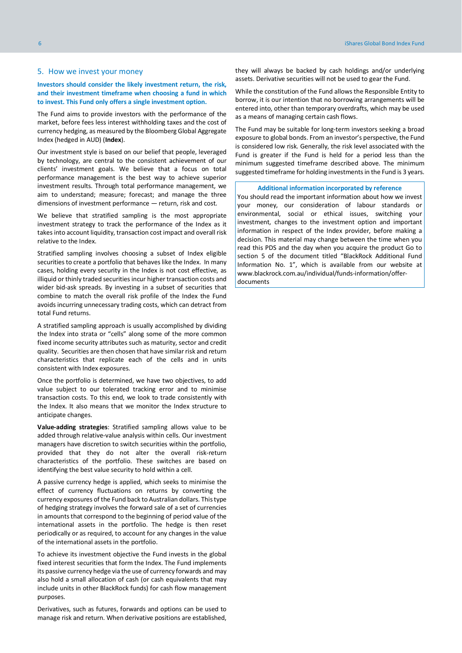## <span id="page-5-0"></span>5. How we invest your money

## **Investors should consider the likely investment return, the risk, and their investment timeframe when choosing a fund in which to invest. This Fund only offers a single investment option.**

The Fund aims to provide investors with the performance of the market, before fees less interest withholding taxes and the cost of currency hedging, as measured by the Bloomberg Global Aggregate Index (hedged in AUD) (**Index**).

Our investment style is based on our belief that people, leveraged by technology, are central to the consistent achievement of our clients' investment goals. We believe that a focus on total performance management is the best way to achieve superior investment results. Through total performance management, we aim to understand; measure; forecast; and manage the three dimensions of investment performance — return, risk and cost.

We believe that stratified sampling is the most appropriate investment strategy to track the performance of the Index as it takes into account liquidity, transaction cost impact and overall risk relative to the Index.

Stratified sampling involves choosing a subset of Index eligible securities to create a portfolio that behaves like the Index. In many cases, holding every security in the Index is not cost effective, as illiquid or thinly traded securities incur higher transaction costs and wider bid-ask spreads. By investing in a subset of securities that combine to match the overall risk profile of the Index the Fund avoids incurring unnecessary trading costs, which can detract from total Fund returns.

A stratified sampling approach is usually accomplished by dividing the Index into strata or "cells" along some of the more common fixed income security attributes such as maturity, sector and credit quality. Securities are then chosen that have similar risk and return characteristics that replicate each of the cells and in units consistent with Index exposures.

Once the portfolio is determined, we have two objectives, to add value subject to our tolerated tracking error and to minimise transaction costs. To this end, we look to trade consistently with the Index. It also means that we monitor the Index structure to anticipate changes.

**Value-adding strategies**: Stratified sampling allows value to be added through relative-value analysis within cells. Our investment managers have discretion to switch securities within the portfolio, provided that they do not alter the overall risk-return characteristics of the portfolio. These switches are based on identifying the best value security to hold within a cell.

A passive currency hedge is applied, which seeks to minimise the effect of currency fluctuations on returns by converting the currency exposures of the Fund back to Australian dollars. This type of hedging strategy involves the forward sale of a set of currencies in amounts that correspond to the beginning of period value of the international assets in the portfolio. The hedge is then reset periodically or as required, to account for any changes in the value of the international assets in the portfolio.

To achieve its investment objective the Fund invests in the global fixed interest securities that form the Index. The Fund implements its passive currency hedge via the use of currency forwards and may also hold a small allocation of cash (or cash equivalents that may include units in other BlackRock funds) for cash flow management purposes.

Derivatives, such as futures, forwards and options can be used to manage risk and return. When derivative positions are established,

they will always be backed by cash holdings and/or underlying assets. Derivative securities will not be used to gear the Fund.

While the constitution of the Fund allows the Responsible Entity to borrow, it is our intention that no borrowing arrangements will be entered into, other than temporary overdrafts, which may be used as a means of managing certain cash flows.

The Fund may be suitable for long-term investors seeking a broad exposure to global bonds. From an investor's perspective, the Fund is considered low risk. Generally, the risk level associated with the Fund is greater if the Fund is held for a period less than the minimum suggested timeframe described above. The minimum suggested timeframe for holding investments in the Fund is 3 years.

#### **Additional information incorporated by reference**

You should read the important information about how we invest your money, our consideration of labour standards or environmental, social or ethical issues, switching your investment, changes to the investment option and important information in respect of the Index provider, before making a decision. This material may change between the time when you read this PDS and the day when you acquire the product Go to section 5 of the document titled "BlackRock Additional Fund Information No. 1", which is available from our website at www.blackrock.com.au/individual/funds-information/offerdocuments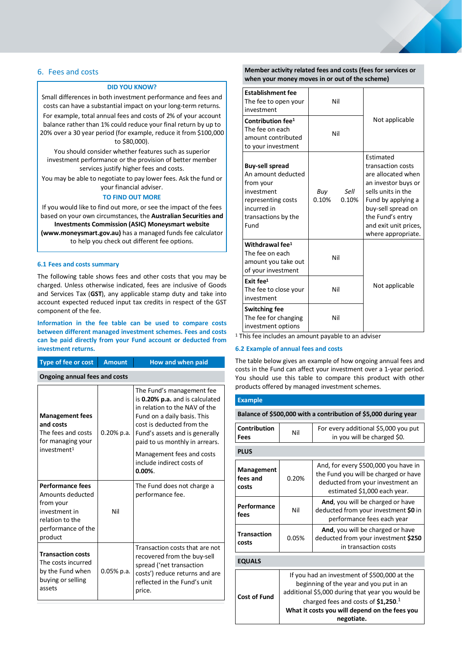## <span id="page-6-0"></span>6. Fees and costs

## **DID YOU KNOW?**

Small differences in both investment performance and fees and costs can have a substantial impact on your long-term returns.

For example, total annual fees and costs of 2% of your account balance rather than 1% could reduce your final return by up to 20% over a 30 year period (for example, reduce it from \$100,000 to \$80,000).

You should consider whether features such as superior investment performance or the provision of better member services justify higher fees and costs.

You may be able to negotiate to pay lower fees. Ask the fund or your financial adviser.

#### **TO FIND OUT MORE**

If you would like to find out more, or see the impact of the fees based on your own circumstances, the **Australian Securities and** 

**Investments Commission (ASIC) Moneysmart website (www.moneysmart.gov.au)** has a managed funds fee calculator

to help you check out different fee options.

### **6.1 Fees and costs summary**

The following table shows fees and other costs that you may be charged. Unless otherwise indicated, fees are inclusive of Goods and Services Tax (**GST**), any applicable stamp duty and take into account expected reduced input tax credits in respect of the GST component of the fee.

## **Information in the fee table can be used to compare costs between different managed investment schemes. Fees and costs can be paid directly from your Fund account or deducted from investment returns.**

| investment returns.                                                                                                           |               |                                                                                                                                                                                                                                                                                         |  |  |
|-------------------------------------------------------------------------------------------------------------------------------|---------------|-----------------------------------------------------------------------------------------------------------------------------------------------------------------------------------------------------------------------------------------------------------------------------------------|--|--|
| <b>Type of fee or cost</b>                                                                                                    | <b>Amount</b> | How and when paid                                                                                                                                                                                                                                                                       |  |  |
| <b>Ongoing annual fees and costs</b>                                                                                          |               |                                                                                                                                                                                                                                                                                         |  |  |
| <b>Management fees</b><br>and costs<br>The fees and costs<br>for managing your<br>investment <sup>1</sup>                     | $0.20\%$ p.a. | The Fund's management fee<br>is 0.20% p.a. and is calculated<br>in relation to the NAV of the<br>Fund on a daily basis. This<br>cost is deducted from the<br>Fund's assets and is generally<br>paid to us monthly in arrears.<br>Management fees and costs<br>include indirect costs of |  |  |
|                                                                                                                               |               | $0.00\%$ .                                                                                                                                                                                                                                                                              |  |  |
| <b>Performance fees</b><br>Amounts deducted<br>from your<br>investment in<br>relation to the<br>performance of the<br>product | Nil           | The Fund does not charge a<br>performance fee.                                                                                                                                                                                                                                          |  |  |
| <b>Transaction costs</b><br>The costs incurred<br>by the Fund when<br>buying or selling<br>assets                             | 0.05% p.a.    | Transaction costs that are not<br>recovered from the buy-sell<br>spread ('net transaction<br>costs') reduce returns and are<br>reflected in the Fund's unit<br>price.                                                                                                                   |  |  |

## **Member activity related fees and costs (fees for services or when your money moves in or out of the scheme)**

| <b>Establishment fee</b><br>The fee to open your<br>investment                                                                              | Nil                           |                                                                                                                                                                                                                  |
|---------------------------------------------------------------------------------------------------------------------------------------------|-------------------------------|------------------------------------------------------------------------------------------------------------------------------------------------------------------------------------------------------------------|
| Contribution fee <sup>1</sup><br>The fee on each<br>amount contributed<br>to your investment                                                | Nil                           | Not applicable                                                                                                                                                                                                   |
| <b>Buy-sell spread</b><br>An amount deducted<br>from your<br>investment<br>representing costs<br>incurred in<br>transactions by the<br>Fund | Sell<br>Buy<br>0.10%<br>0.10% | Estimated<br>transaction costs<br>are allocated when<br>an investor buys or<br>sells units in the<br>Fund by applying a<br>buy-sell spread on<br>the Fund's entry<br>and exit unit prices,<br>where appropriate. |
| Withdrawal fee <sup>1</sup><br>The fee on each<br>amount you take out<br>of your investment                                                 | Nil                           |                                                                                                                                                                                                                  |
| Exit fee $1$<br>The fee to close your<br>investment                                                                                         | Nil                           | Not applicable                                                                                                                                                                                                   |
| <b>Switching fee</b><br>The fee for changing<br>investment options                                                                          | Nil                           |                                                                                                                                                                                                                  |

<sup>1</sup> This fee includes an amount payable to an adviser

## **6.2 Example of annual fees and costs**

The table below gives an example of how ongoing annual fees and costs in the Fund can affect your investment over a 1-year period. You should use this table to compare this product with other products offered by managed investment schemes.

#### **Example**

| Balance of \$500,000 with a contribution of \$5,000 during year |     |                                                                     |  |
|-----------------------------------------------------------------|-----|---------------------------------------------------------------------|--|
| Contribution<br>Fees                                            | Nil | For every additional \$5,000 you put<br>in you will be charged \$0. |  |

| <b>PLUS</b>                     |                                                                                                                                                                                                                                                    |                                                                                                                                                  |  |  |
|---------------------------------|----------------------------------------------------------------------------------------------------------------------------------------------------------------------------------------------------------------------------------------------------|--------------------------------------------------------------------------------------------------------------------------------------------------|--|--|
| Management<br>fees and<br>costs | 0.20%                                                                                                                                                                                                                                              | And, for every \$500,000 you have in<br>the Fund you will be charged or have<br>deducted from your investment an<br>estimated \$1,000 each year. |  |  |
| Performance<br>fees             | Nil                                                                                                                                                                                                                                                | And, you will be charged or have<br>deducted from your investment \$0 in<br>performance fees each year                                           |  |  |
| <b>Transaction</b><br>costs     | 0.05%                                                                                                                                                                                                                                              | And, you will be charged or have<br>deducted from your investment \$250<br>in transaction costs                                                  |  |  |
| <b>EQUALS</b>                   |                                                                                                                                                                                                                                                    |                                                                                                                                                  |  |  |
| <b>Cost of Fund</b>             | If you had an investment of \$500,000 at the<br>beginning of the year and you put in an<br>additional \$5,000 during that year you would be<br>charged fees and costs of $$1,250.1$<br>What it costs you will depend on the fees you<br>negotiate. |                                                                                                                                                  |  |  |